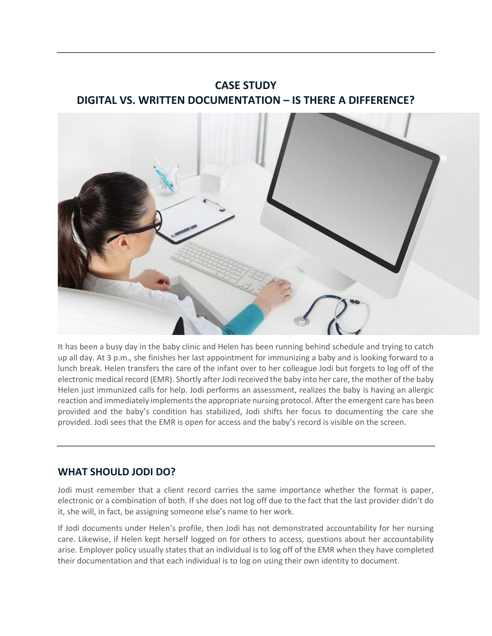# **CASE STUDY DIGITAL VS. WRITTEN DOCUMENTATION – IS THERE A DIFFERENCE?**



It has been a busy day in the baby clinic and Helen has been running behind schedule and trying to catch up all day. At 3 p.m., she finishes her last appointment for immunizing a baby and is looking forward to a lunch break. Helen transfers the care of the infant over to her colleague Jodi but forgets to log off of the electronic medical record (EMR). Shortly after Jodi received the baby into her care, the mother of the baby Helen just immunized calls for help. Jodi performs an assessment, realizes the baby is having an allergic reaction and immediately implements the appropriate nursing protocol. After the emergent care has been provided and the baby's condition has stabilized, Jodi shifts her focus to documenting the care she provided. Jodi sees that the EMR is open for access and the baby's record is visible on the screen.

## **WHAT SHOULD JODI DO?**

Jodi must remember that a client record carries the same importance whether the format is paper, electronic or a combination of both. If she does not log off due to the fact that the last provider didn't do it, she will, in fact, be assigning someone else's name to her work.

If Jodi documents under Helen's profile, then Jodi has not demonstrated accountability for her nursing care. Likewise, if Helen kept herself logged on for others to access, questions about her accountability arise. Employer policy usually states that an individual is to log off of the EMR when they have completed their documentation and that each individual is to log on using their own identity to document.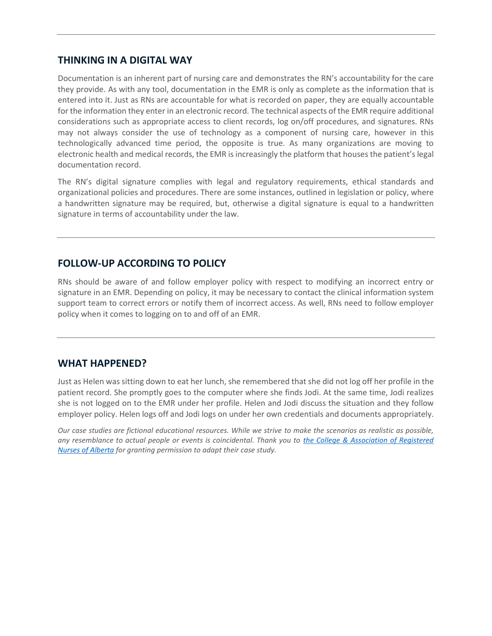#### **THINKING IN A DIGITAL WAY**

Documentation is an inherent part of nursing care and demonstrates the RN's accountability for the care they provide. As with any tool, documentation in the EMR is only as complete as the information that is entered into it. Just as RNs are accountable for what is recorded on paper, they are equally accountable for the information they enter in an electronic record. The technical aspects of the EMR require additional considerations such as appropriate access to client records, log on/off procedures, and signatures. RNs may not always consider the use of technology as a component of nursing care, however in this technologically advanced time period, the opposite is true. As many organizations are moving to electronic health and medical records, the EMR is increasingly the platform that houses the patient's legal documentation record.

The RN's digital signature complies with legal and regulatory requirements, ethical standards and organizational policies and procedures. There are some instances, outlined in legislation or policy, where a handwritten signature may be required, but, otherwise a digital signature is equal to a handwritten signature in terms of accountability under the law.

## **FOLLOW-UP ACCORDING TO POLICY**

RNs should be aware of and follow employer policy with respect to modifying an incorrect entry or signature in an EMR. Depending on policy, it may be necessary to contact the clinical information system support team to correct errors or notify them of incorrect access. As well, RNs need to follow employer policy when it comes to logging on to and off of an EMR.

#### **WHAT HAPPENED?**

Just as Helen was sitting down to eat her lunch, she remembered that she did not log off her profile in the patient record. She promptly goes to the computer where she finds Jodi. At the same time, Jodi realizes she is not logged on to the EMR under her profile. Helen and Jodi discuss the situation and they follow employer policy. Helen logs off and Jodi logs on under her own credentials and documents appropriately.

*Our case studies are fictional educational resources. While we strive to make the scenarios as realistic as possible, any resemblance to actual people or events is coincidental. Thank you to [the College & Association of Registered](https://www.nurses.ab.ca/)  [Nurses of Alberta](https://www.nurses.ab.ca/) for granting permission to adapt their case study.*